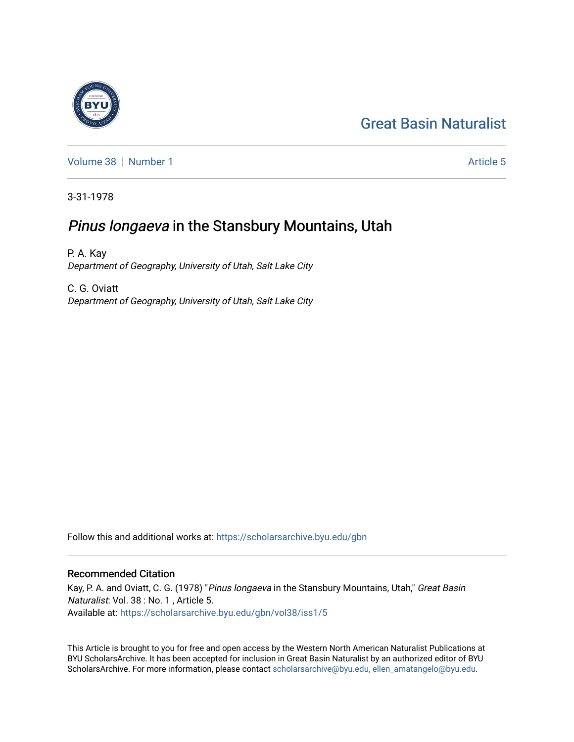# [Great Basin Naturalist](https://scholarsarchive.byu.edu/gbn)

[Volume 38](https://scholarsarchive.byu.edu/gbn/vol38) [Number 1](https://scholarsarchive.byu.edu/gbn/vol38/iss1) [Article 5](https://scholarsarchive.byu.edu/gbn/vol38/iss1/5) Article 5

3-31-1978

## Pinus longaeva in the Stansbury Mountains, Utah

P. A. Kay Department of Geography, University of Utah, Salt Lake City

C. G. Oviatt Department of Geography, University of Utah, Salt Lake City

Follow this and additional works at: [https://scholarsarchive.byu.edu/gbn](https://scholarsarchive.byu.edu/gbn?utm_source=scholarsarchive.byu.edu%2Fgbn%2Fvol38%2Fiss1%2F5&utm_medium=PDF&utm_campaign=PDFCoverPages) 

### Recommended Citation

Kay, P. A. and Oviatt, C. G. (1978) "Pinus longaeva in the Stansbury Mountains, Utah," Great Basin Naturalist: Vol. 38 : No. 1 , Article 5. Available at: [https://scholarsarchive.byu.edu/gbn/vol38/iss1/5](https://scholarsarchive.byu.edu/gbn/vol38/iss1/5?utm_source=scholarsarchive.byu.edu%2Fgbn%2Fvol38%2Fiss1%2F5&utm_medium=PDF&utm_campaign=PDFCoverPages)

This Article is brought to you for free and open access by the Western North American Naturalist Publications at BYU ScholarsArchive. It has been accepted for inclusion in Great Basin Naturalist by an authorized editor of BYU ScholarsArchive. For more information, please contact [scholarsarchive@byu.edu, ellen\\_amatangelo@byu.edu.](mailto:scholarsarchive@byu.edu,%20ellen_amatangelo@byu.edu)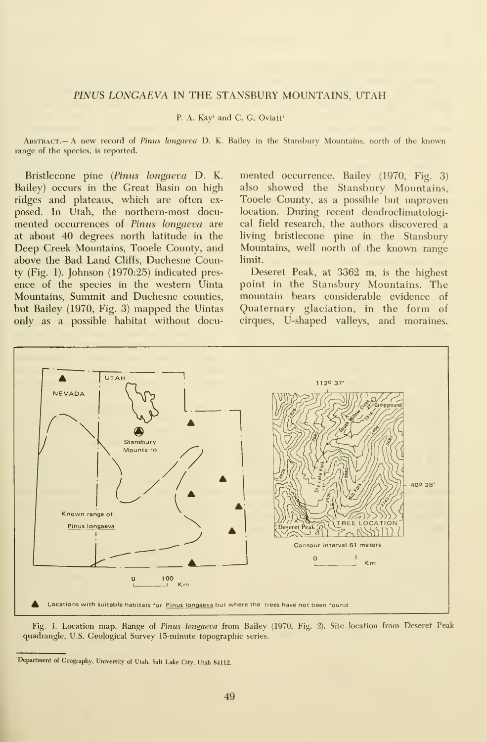#### PINUS LONGAEVA IN THE STANSBURY MOUNTAINS, UTAH

#### P. A. Kay' and C. G. Oviatt'

Abstract.— A new record of Pinus longaeva D. K. Bailey in the Stansbury Mountains, north of the known range of the species, is reported.

Bristlecone pine {Pinus longaeva D. K. Bailey) occurs in the Great Basin on high ridges and plateaus, which are often ex posed. In Utah, the northern-most documented occurrences of Pinus longaeva are at about 40 degrees north latitude in the Deep Creek Mountains, Tooele County, and above the Bad Land Cliffs, Duchesne County (Fig. 1). Johnson (1970:25) indicated pres ence of the species in the western Uinta Mountains, Summit and Duchesne counties, but Bailey (1970, Fig. 3) mapped the Uintas only as a possible habitat without docu-

mented occurrence. Bailey (1970, Fig. 3) also showed the Stansbury Mountains, Tooele County, as a possible but unproven location. During recent dendroclimatological field research, the authors discovered a living bristlecone pine in the Stansbury Mountains, well north of the known range limit.

Deseret Peak, at 3362 m, is the highest point in the Stansbury Mountains. The mountain bears considerable evidence of Quaternary glaciation, in the form of cirques, U-shaped valleys, and moraines.



Fig. 1. Location map. Range of Pinus longaeva from Bailey (1970, Fig. 2). Site location from Deseret Peak quadrangle, U.S. Geological Survey 15-minute topographic series.

<sup>&#</sup>x27;Department of Geography, University of Utah, Salt Lake City, Utah 84112.